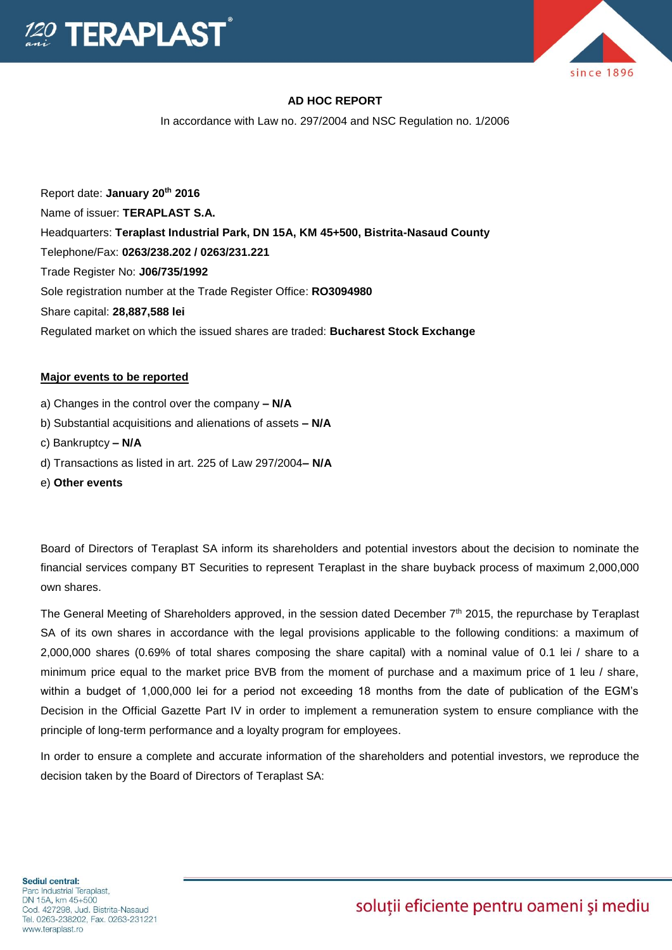



# **AD HOC REPORT**

In accordance with Law no. 297/2004 and NSC Regulation no. 1/2006

Report date: **January 20th 2016** Name of issuer: **TERAPLAST S.A.**  Headquarters: **Teraplast Industrial Park, DN 15A, KM 45+500, Bistrita-Nasaud County** Telephone/Fax: **0263/238.202 / 0263/231.221** Trade Register No: **J06/735/1992** Sole registration number at the Trade Register Office: **RO3094980** Share capital: **28,887,588 lei** Regulated market on which the issued shares are traded: **Bucharest Stock Exchange**

#### **Major events to be reported**

- a) Changes in the control over the company **– N/A**
- b) Substantial acquisitions and alienations of assets **– N/A**
- c) Bankruptcy **– N/A**
- d) Transactions as listed in art. 225 of Law 297/2004**– N/A**
- e) **Other events**

Board of Directors of Teraplast SA inform its shareholders and potential investors about the decision to nominate the financial services company BT Securities to represent Teraplast in the share buyback process of maximum 2,000,000 own shares.

The General Meeting of Shareholders approved, in the session dated December 7th 2015, the repurchase by Teraplast SA of its own shares in accordance with the legal provisions applicable to the following conditions: a maximum of 2,000,000 shares (0.69% of total shares composing the share capital) with a nominal value of 0.1 lei / share to a minimum price equal to the market price BVB from the moment of purchase and a maximum price of 1 leu / share, within a budget of 1,000,000 lei for a period not exceeding 18 months from the date of publication of the EGM's Decision in the Official Gazette Part IV in order to implement a remuneration system to ensure compliance with the principle of long-term performance and a loyalty program for employees.

In order to ensure a complete and accurate information of the shareholders and potential investors, we reproduce the decision taken by the Board of Directors of Teraplast SA: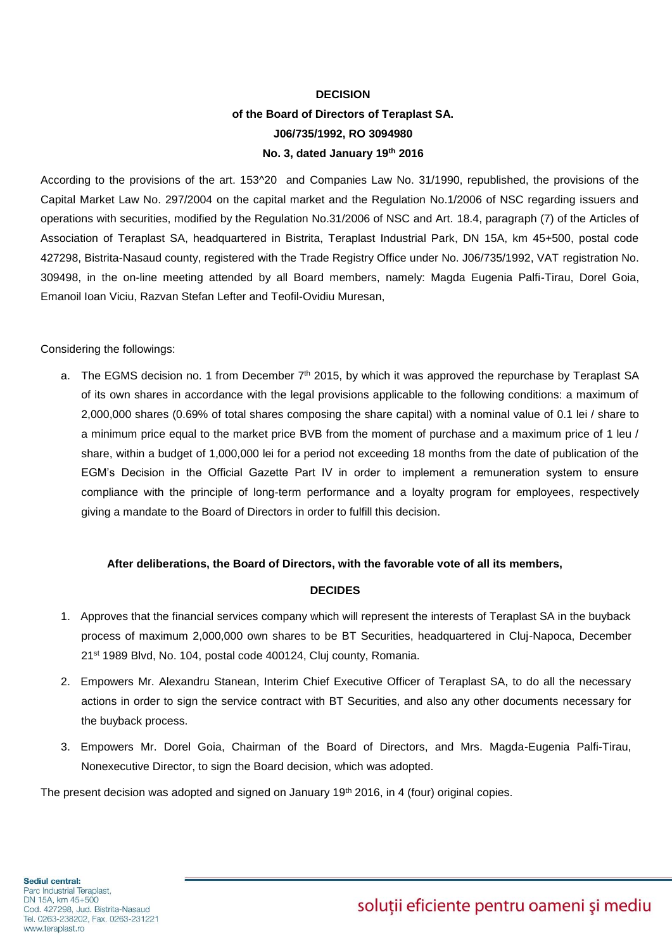# **DECISION of the Board of Directors of Teraplast SA. J06/735/1992, RO 3094980 No. 3, dated January 19th 2016**

According to the provisions of the art. 153^20 and Companies Law No. 31/1990, republished, the provisions of the Capital Market Law No. 297/2004 on the capital market and the Regulation No.1/2006 of NSC regarding issuers and operations with securities, modified by the Regulation No.31/2006 of NSC and Art. 18.4, paragraph (7) of the Articles of Association of Teraplast SA, headquartered in Bistrita, Teraplast Industrial Park, DN 15A, km 45+500, postal code 427298, Bistrita-Nasaud county, registered with the Trade Registry Office under No. J06/735/1992, VAT registration No. 309498, in the on-line meeting attended by all Board members, namely: Magda Eugenia Palfi-Tirau, Dorel Goia, Emanoil Ioan Viciu, Razvan Stefan Lefter and Teofil-Ovidiu Muresan,

# Considering the followings:

a. The EGMS decision no. 1 from December 7<sup>th</sup> 2015, by which it was approved the repurchase by Teraplast SA of its own shares in accordance with the legal provisions applicable to the following conditions: a maximum of 2,000,000 shares (0.69% of total shares composing the share capital) with a nominal value of 0.1 lei / share to a minimum price equal to the market price BVB from the moment of purchase and a maximum price of 1 leu / share, within a budget of 1,000,000 lei for a period not exceeding 18 months from the date of publication of the EGM's Decision in the Official Gazette Part IV in order to implement a remuneration system to ensure compliance with the principle of long-term performance and a loyalty program for employees, respectively giving a mandate to the Board of Directors in order to fulfill this decision.

# **After deliberations, the Board of Directors, with the favorable vote of all its members,**

#### **DECIDES**

- 1. Approves that the financial services company which will represent the interests of Teraplast SA in the buyback process of maximum 2,000,000 own shares to be BT Securities, headquartered in Cluj-Napoca, December 21st 1989 Blvd, No. 104, postal code 400124, Cluj county, Romania.
- 2. Empowers Mr. Alexandru Stanean, Interim Chief Executive Officer of Teraplast SA, to do all the necessary actions in order to sign the service contract with BT Securities, and also any other documents necessary for the buyback process.
- 3. Empowers Mr. Dorel Goia, Chairman of the Board of Directors, and Mrs. Magda-Eugenia Palfi-Tirau, Nonexecutive Director, to sign the Board decision, which was adopted.

The present decision was adopted and signed on January 19<sup>th</sup> 2016, in 4 (four) original copies.